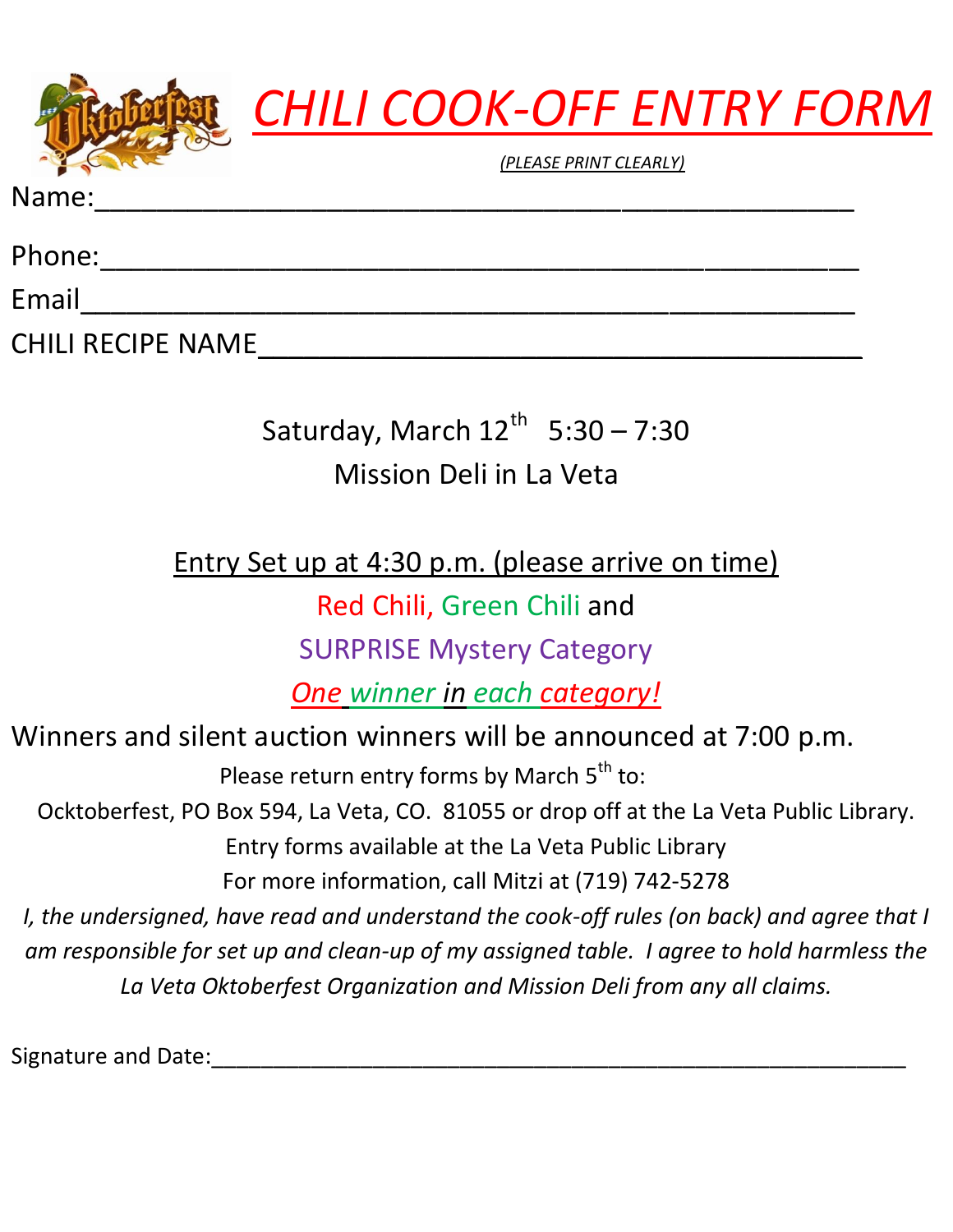



*(PLEASE PRINT CLEARLY)*

Name:\_\_\_\_\_\_\_\_\_\_\_\_\_\_\_\_\_\_\_\_\_\_\_\_\_\_\_\_\_\_\_\_\_\_\_\_\_\_\_\_\_\_\_\_\_\_\_\_\_

Phone:\_\_\_\_\_\_\_\_\_\_\_\_\_\_\_\_\_\_\_\_\_\_\_\_\_\_\_\_\_\_\_\_\_\_\_\_\_\_\_\_\_\_\_\_\_\_\_\_\_

Email\_\_\_\_\_\_\_\_\_\_\_\_\_\_\_\_\_\_\_\_\_\_\_\_\_\_\_\_\_\_\_\_\_\_\_\_\_\_\_\_\_\_\_\_\_\_\_\_\_\_

CHILI RECIPE NAME\_\_\_\_\_\_\_\_\_\_\_\_\_\_\_\_\_\_\_\_\_\_\_\_\_\_\_\_\_\_\_\_\_\_\_\_\_\_\_

Saturday, March  $12^{\text{th}}$  5:30 – 7:30 Mission Deli in La Veta

Entry Set up at 4:30 p.m. (please arrive on time)

Red Chili, Green Chili and

SURPRISE Mystery Category

*One winner in each category!*

Winners and silent auction winners will be announced at 7:00 p.m. Please return entry forms by March 5<sup>th</sup> to: Ocktoberfest, PO Box 594, La Veta, CO. 81055 or drop off at the La Veta Public Library. Entry forms available at the La Veta Public Library For more information, call Mitzi at (719) 742-5278 *I, the undersigned, have read and understand the cook-off rules (on back) and agree that I am responsible for set up and clean-up of my assigned table. I agree to hold harmless the La Veta Oktoberfest Organization and Mission Deli from any all claims.*

Signature and Date: <u>Lateral and Signature</u> and Date: